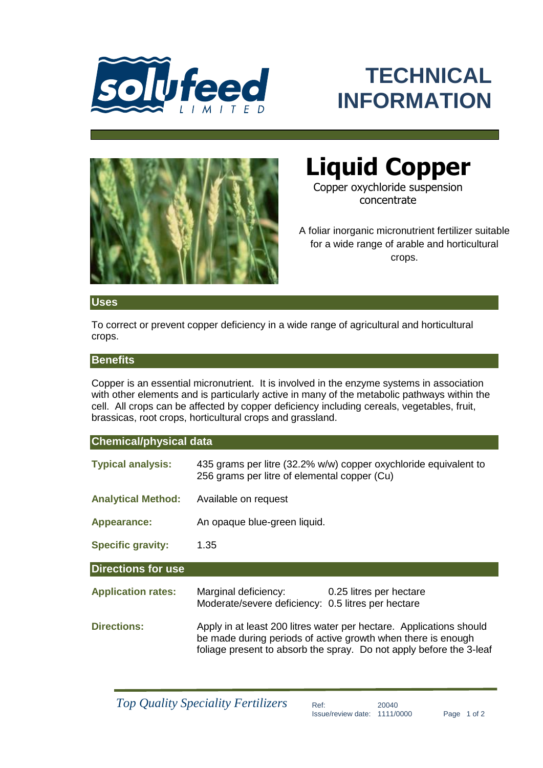

# **TECHNICAL INFORMATION**



# **Liquid Copper**

Copper oxychloride suspension concentrate

A foliar inorganic micronutrient fertilizer suitable for a wide range of arable and horticultural crops.

### **Uses**

To correct or prevent copper deficiency in a wide range of agricultural and horticultural crops.

## **Benefits**

Copper is an essential micronutrient. It is involved in the enzyme systems in association with other elements and is particularly active in many of the metabolic pathways within the cell. All crops can be affected by copper deficiency including cereals, vegetables, fruit, brassicas, root crops, horticultural crops and grassland.

# **Chemical/physical data**

| <b>Typical analysis:</b>  | 256 grams per litre of elemental copper (Cu)                                                       | 435 grams per litre (32.2% w/w) copper oxychloride equivalent to |
|---------------------------|----------------------------------------------------------------------------------------------------|------------------------------------------------------------------|
| <b>Analytical Method:</b> | Available on request                                                                               |                                                                  |
| <b>Appearance:</b>        | An opaque blue-green liquid.                                                                       |                                                                  |
| <b>Specific gravity:</b>  | 1.35                                                                                               |                                                                  |
|                           |                                                                                                    |                                                                  |
| <b>Directions for use</b> |                                                                                                    |                                                                  |
| <b>Application rates:</b> | Marginal deficiency: 0.25 litres per hectare<br>Moderate/severe deficiency: 0.5 litres per hectare |                                                                  |